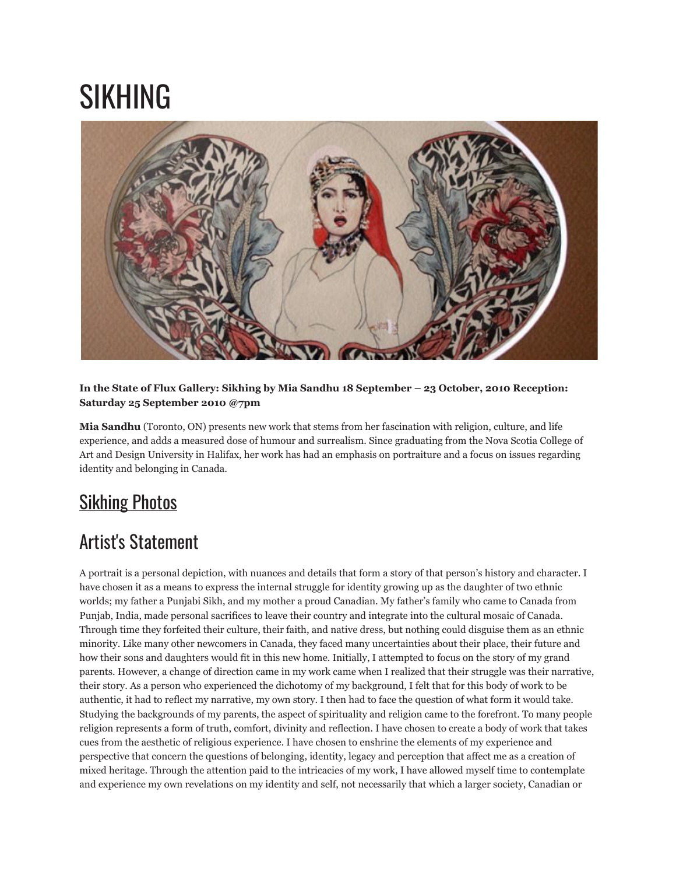## SIKHING



## **In the State of Flux Gallery: Sikhing by Mia Sandhu 18 September – 23 October, 2010 Reception: Saturday 25 September 2010 @7pm**

**Mia Sandhu** (Toronto, ON) presents new work that stems from her fascination with religion, culture, and life experience, and adds a measured dose of humour and surrealism. Since graduating from the Nova Scotia College of Art and Design University in Halifax, her work has had an emphasis on portraiture and a focus on issues regarding identity and belonging in Canada.

## **[Sikhing](http://www.flickr.com/photos/modernfuel/sets/72157625515559888/) Photos**

## Artist's Statement

A portrait is a personal depiction, with nuances and details that form a story of that person's history and character. I have chosen it as a means to express the internal struggle for identity growing up as the daughter of two ethnic worlds; my father a Punjabi Sikh, and my mother a proud Canadian. My father's family who came to Canada from Punjab, India, made personal sacrifices to leave their country and integrate into the cultural mosaic of Canada. Through time they forfeited their culture, their faith, and native dress, but nothing could disguise them as an ethnic minority. Like many other newcomers in Canada, they faced many uncertainties about their place, their future and how their sons and daughters would fit in this new home. Initially, I attempted to focus on the story of my grand parents. However, a change of direction came in my work came when I realized that their struggle was their narrative, their story. As a person who experienced the dichotomy of my background, I felt that for this body of work to be authentic, it had to reflect my narrative, my own story. I then had to face the question of what form it would take. Studying the backgrounds of my parents, the aspect of spirituality and religion came to the forefront. To many people religion represents a form of truth, comfort, divinity and reflection. I have chosen to create a body of work that takes cues from the aesthetic of religious experience. I have chosen to enshrine the elements of my experience and perspective that concern the questions of belonging, identity, legacy and perception that affect me as a creation of mixed heritage. Through the attention paid to the intricacies of my work, I have allowed myself time to contemplate and experience my own revelations on my identity and self, not necessarily that which a larger society, Canadian or